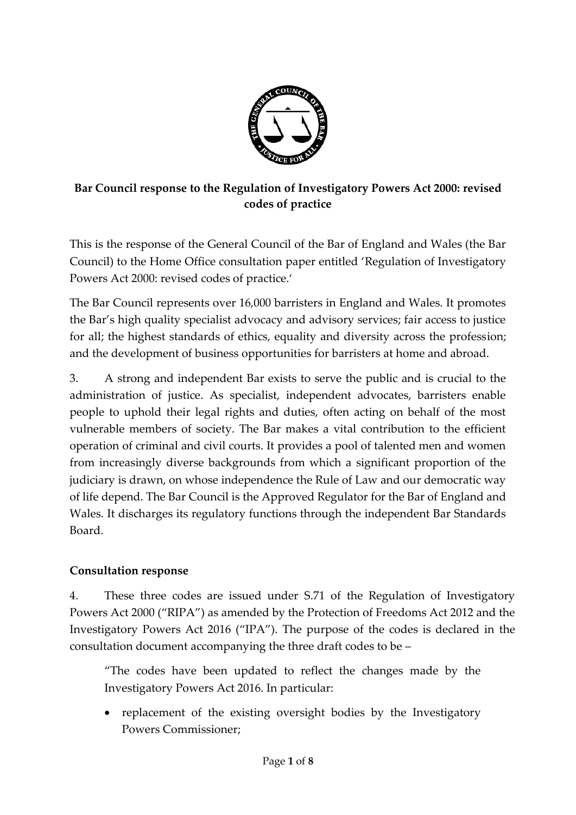

## **Bar Council response to the Regulation of Investigatory Powers Act 2000: revised codes of practice**

This is the response of the General Council of the Bar of England and Wales (the Bar Council) to the Home Office consultation paper entitled 'Regulation of Investigatory Powers Act 2000: revised codes of practice.'

The Bar Council represents over 16,000 barristers in England and Wales. It promotes the Bar's high quality specialist advocacy and advisory services; fair access to justice for all; the highest standards of ethics, equality and diversity across the profession; and the development of business opportunities for barristers at home and abroad.

3. A strong and independent Bar exists to serve the public and is crucial to the administration of justice. As specialist, independent advocates, barristers enable people to uphold their legal rights and duties, often acting on behalf of the most vulnerable members of society. The Bar makes a vital contribution to the efficient operation of criminal and civil courts. It provides a pool of talented men and women from increasingly diverse backgrounds from which a significant proportion of the judiciary is drawn, on whose independence the Rule of Law and our democratic way of life depend. The Bar Council is the Approved Regulator for the Bar of England and Wales. It discharges its regulatory functions through the independent Bar Standards Board.

#### **Consultation response**

4. These three codes are issued under S.71 of the Regulation of Investigatory Powers Act 2000 ("RIPA") as amended by the Protection of Freedoms Act 2012 and the Investigatory Powers Act 2016 ("IPA"). The purpose of the codes is declared in the consultation document accompanying the three draft codes to be –

"The codes have been updated to reflect the changes made by the Investigatory Powers Act 2016. In particular:

• replacement of the existing oversight bodies by the Investigatory Powers Commissioner;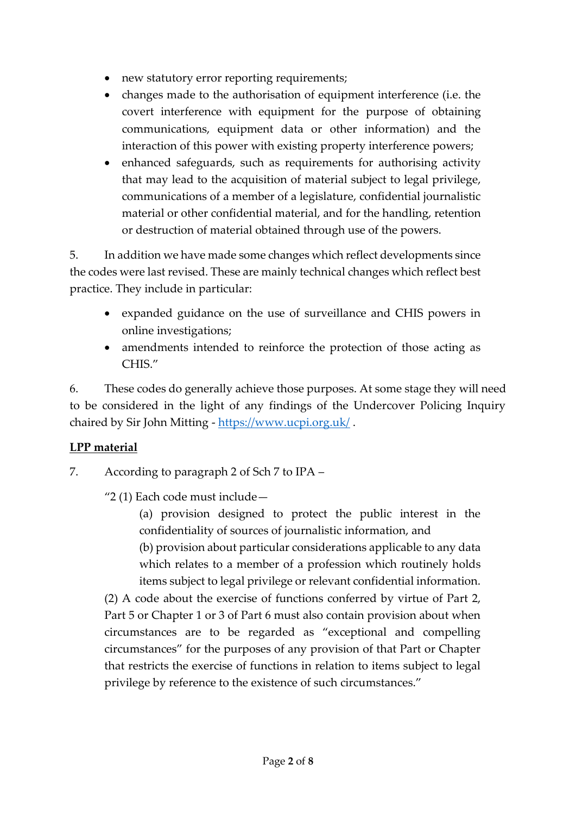- new statutory error reporting requirements;
- changes made to the authorisation of equipment interference (i.e. the covert interference with equipment for the purpose of obtaining communications, equipment data or other information) and the interaction of this power with existing property interference powers;
- enhanced safeguards, such as requirements for authorising activity that may lead to the acquisition of material subject to legal privilege, communications of a member of a legislature, confidential journalistic material or other confidential material, and for the handling, retention or destruction of material obtained through use of the powers.

5. In addition we have made some changes which reflect developments since the codes were last revised. These are mainly technical changes which reflect best practice. They include in particular:

- expanded guidance on the use of surveillance and CHIS powers in online investigations;
- amendments intended to reinforce the protection of those acting as CHIS."

6. These codes do generally achieve those purposes. At some stage they will need to be considered in the light of any findings of the Undercover Policing Inquiry chaired by Sir John Mitting - <https://www.ucpi.org.uk/>.

## **LPP material**

- 7. According to paragraph 2 of Sch 7 to IPA
	- "2 (1) Each code must include—

(a) provision designed to protect the public interest in the confidentiality of sources of journalistic information, and (b) provision about particular considerations applicable to any data which relates to a member of a profession which routinely holds items subject to legal privilege or relevant confidential information.

(2) A code about the exercise of functions conferred by virtue of Part 2, Part 5 or Chapter 1 or 3 of Part 6 must also contain provision about when circumstances are to be regarded as "exceptional and compelling circumstances" for the purposes of any provision of that Part or Chapter that restricts the exercise of functions in relation to items subject to legal privilege by reference to the existence of such circumstances."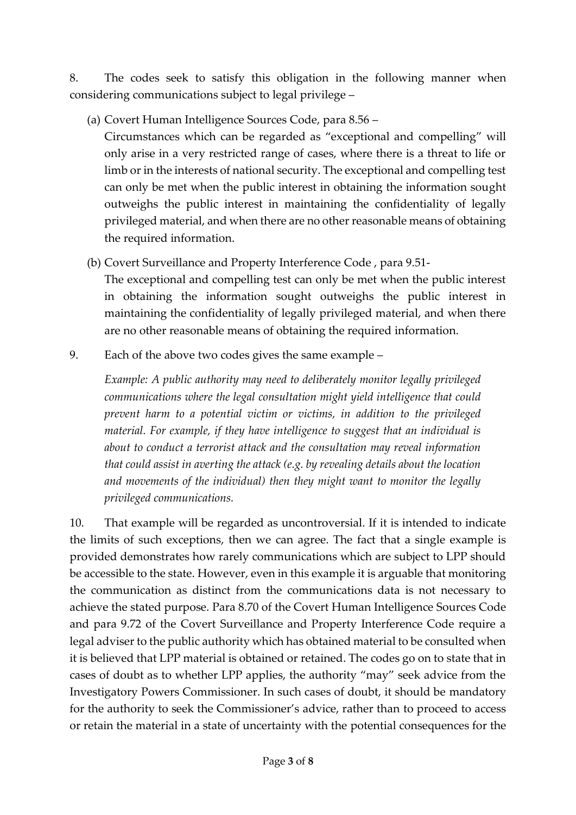8. The codes seek to satisfy this obligation in the following manner when considering communications subject to legal privilege –

(a) Covert Human Intelligence Sources Code, para 8.56 –

Circumstances which can be regarded as "exceptional and compelling" will only arise in a very restricted range of cases, where there is a threat to life or limb or in the interests of national security. The exceptional and compelling test can only be met when the public interest in obtaining the information sought outweighs the public interest in maintaining the confidentiality of legally privileged material, and when there are no other reasonable means of obtaining the required information.

(b) Covert Surveillance and Property Interference Code , para 9.51-

The exceptional and compelling test can only be met when the public interest in obtaining the information sought outweighs the public interest in maintaining the confidentiality of legally privileged material, and when there are no other reasonable means of obtaining the required information.

9. Each of the above two codes gives the same example –

*Example: A public authority may need to deliberately monitor legally privileged communications where the legal consultation might yield intelligence that could prevent harm to a potential victim or victims, in addition to the privileged material. For example, if they have intelligence to suggest that an individual is about to conduct a terrorist attack and the consultation may reveal information that could assist in averting the attack (e.g. by revealing details about the location and movements of the individual) then they might want to monitor the legally privileged communications.* 

10. That example will be regarded as uncontroversial. If it is intended to indicate the limits of such exceptions, then we can agree. The fact that a single example is provided demonstrates how rarely communications which are subject to LPP should be accessible to the state. However, even in this example it is arguable that monitoring the communication as distinct from the communications data is not necessary to achieve the stated purpose. Para 8.70 of the Covert Human Intelligence Sources Code and para 9.72 of the Covert Surveillance and Property Interference Code require a legal adviser to the public authority which has obtained material to be consulted when it is believed that LPP material is obtained or retained. The codes go on to state that in cases of doubt as to whether LPP applies, the authority "may" seek advice from the Investigatory Powers Commissioner. In such cases of doubt, it should be mandatory for the authority to seek the Commissioner's advice, rather than to proceed to access or retain the material in a state of uncertainty with the potential consequences for the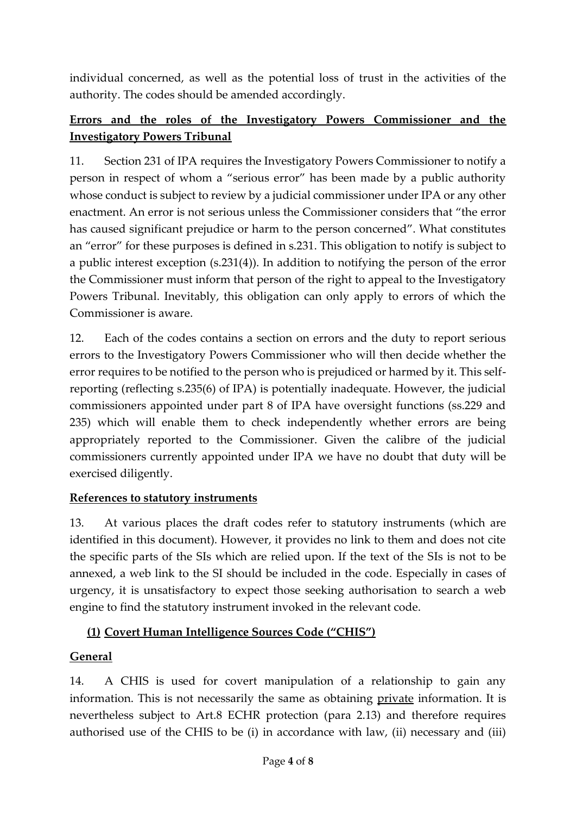individual concerned, as well as the potential loss of trust in the activities of the authority. The codes should be amended accordingly.

## **Errors and the roles of the Investigatory Powers Commissioner and the Investigatory Powers Tribunal**

11. Section 231 of IPA requires the Investigatory Powers Commissioner to notify a person in respect of whom a "serious error" has been made by a public authority whose conduct is subject to review by a judicial commissioner under IPA or any other enactment. An error is not serious unless the Commissioner considers that "the error has caused significant prejudice or harm to the person concerned". What constitutes an "error" for these purposes is defined in s.231. This obligation to notify is subject to a public interest exception (s.231(4)). In addition to notifying the person of the error the Commissioner must inform that person of the right to appeal to the Investigatory Powers Tribunal. Inevitably, this obligation can only apply to errors of which the Commissioner is aware.

12. Each of the codes contains a section on errors and the duty to report serious errors to the Investigatory Powers Commissioner who will then decide whether the error requires to be notified to the person who is prejudiced or harmed by it. This selfreporting (reflecting s.235(6) of IPA) is potentially inadequate. However, the judicial commissioners appointed under part 8 of IPA have oversight functions (ss.229 and 235) which will enable them to check independently whether errors are being appropriately reported to the Commissioner. Given the calibre of the judicial commissioners currently appointed under IPA we have no doubt that duty will be exercised diligently.

#### **References to statutory instruments**

13. At various places the draft codes refer to statutory instruments (which are identified in this document). However, it provides no link to them and does not cite the specific parts of the SIs which are relied upon. If the text of the SIs is not to be annexed, a web link to the SI should be included in the code. Especially in cases of urgency, it is unsatisfactory to expect those seeking authorisation to search a web engine to find the statutory instrument invoked in the relevant code.

## **(1) Covert Human Intelligence Sources Code ("CHIS")**

#### **General**

14. A CHIS is used for covert manipulation of a relationship to gain any information. This is not necessarily the same as obtaining private information. It is nevertheless subject to Art.8 ECHR protection (para 2.13) and therefore requires authorised use of the CHIS to be (i) in accordance with law, (ii) necessary and (iii)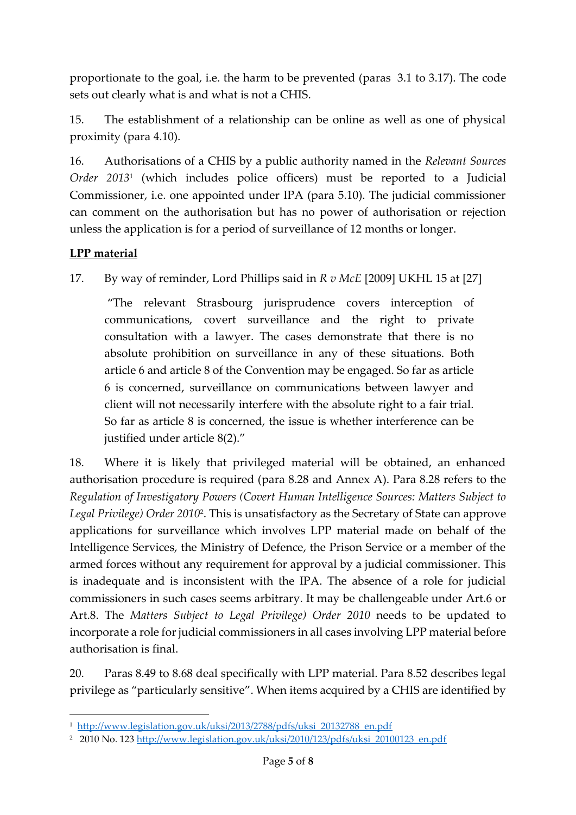proportionate to the goal, i.e. the harm to be prevented (paras 3.1 to 3.17). The code sets out clearly what is and what is not a CHIS.

15. The establishment of a relationship can be online as well as one of physical proximity (para 4.10).

16. Authorisations of a CHIS by a public authority named in the *Relevant Sources Order 2013*<sup>1</sup> (which includes police officers) must be reported to a Judicial Commissioner, i.e. one appointed under IPA (para 5.10). The judicial commissioner can comment on the authorisation but has no power of authorisation or rejection unless the application is for a period of surveillance of 12 months or longer.

### **LPP material**

**.** 

17. By way of reminder, Lord Phillips said in *R v McE* [2009] UKHL 15 at [27]

"The relevant Strasbourg jurisprudence covers interception of communications, covert surveillance and the right to private consultation with a lawyer. The cases demonstrate that there is no absolute prohibition on surveillance in any of these situations. Both article 6 and article 8 of the Convention may be engaged. So far as article 6 is concerned, surveillance on communications between lawyer and client will not necessarily interfere with the absolute right to a fair trial. So far as article 8 is concerned, the issue is whether interference can be justified under article 8(2)."

18. Where it is likely that privileged material will be obtained, an enhanced authorisation procedure is required (para 8.28 and Annex A). Para 8.28 refers to the *Regulation of Investigatory Powers (Covert Human Intelligence Sources: Matters Subject to Legal Privilege) Order 2010*<sup>2</sup> . This is unsatisfactory as the Secretary of State can approve applications for surveillance which involves LPP material made on behalf of the Intelligence Services, the Ministry of Defence, the Prison Service or a member of the armed forces without any requirement for approval by a judicial commissioner. This is inadequate and is inconsistent with the IPA. The absence of a role for judicial commissioners in such cases seems arbitrary. It may be challengeable under Art.6 or Art.8. The *Matters Subject to Legal Privilege) Order 2010* needs to be updated to incorporate a role for judicial commissioners in all cases involving LPP material before authorisation is final.

20. Paras 8.49 to 8.68 deal specifically with LPP material. Para 8.52 describes legal privilege as "particularly sensitive". When items acquired by a CHIS are identified by

<sup>1</sup> [http://www.legislation.gov.uk/uksi/2013/2788/pdfs/uksi\\_20132788\\_en.pdf](http://www.legislation.gov.uk/uksi/2013/2788/pdfs/uksi_20132788_en.pdf)

<sup>2</sup> 2010 No. 123 [http://www.legislation.gov.uk/uksi/2010/123/pdfs/uksi\\_20100123\\_en.pdf](http://www.legislation.gov.uk/uksi/2010/123/pdfs/uksi_20100123_en.pdf)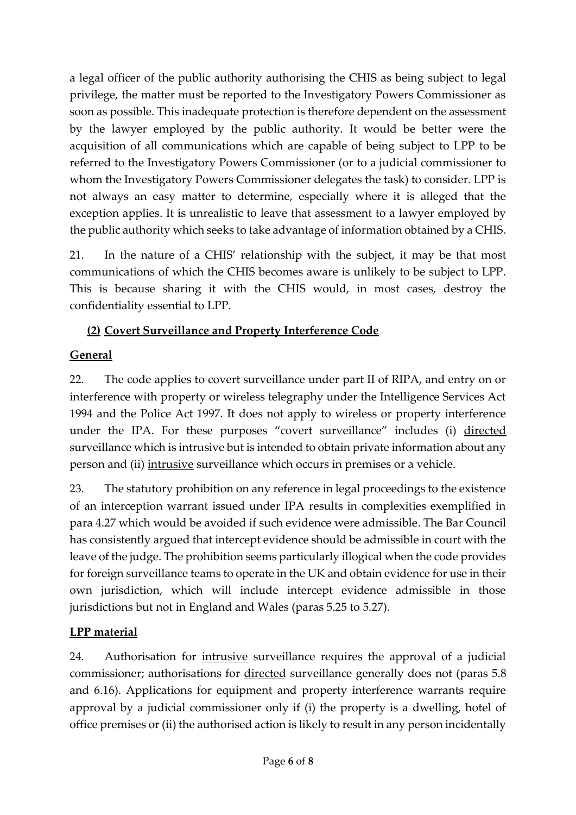a legal officer of the public authority authorising the CHIS as being subject to legal privilege, the matter must be reported to the Investigatory Powers Commissioner as soon as possible. This inadequate protection is therefore dependent on the assessment by the lawyer employed by the public authority. It would be better were the acquisition of all communications which are capable of being subject to LPP to be referred to the Investigatory Powers Commissioner (or to a judicial commissioner to whom the Investigatory Powers Commissioner delegates the task) to consider. LPP is not always an easy matter to determine, especially where it is alleged that the exception applies. It is unrealistic to leave that assessment to a lawyer employed by the public authority which seeks to take advantage of information obtained by a CHIS.

21. In the nature of a CHIS' relationship with the subject, it may be that most communications of which the CHIS becomes aware is unlikely to be subject to LPP. This is because sharing it with the CHIS would, in most cases, destroy the confidentiality essential to LPP.

## **(2) Covert Surveillance and Property Interference Code**

# **General**

22. The code applies to covert surveillance under part II of RIPA, and entry on or interference with property or wireless telegraphy under the Intelligence Services Act 1994 and the Police Act 1997. It does not apply to wireless or property interference under the IPA. For these purposes "covert surveillance" includes (i) directed surveillance which is intrusive but is intended to obtain private information about any person and (ii) intrusive surveillance which occurs in premises or a vehicle.

23. The statutory prohibition on any reference in legal proceedings to the existence of an interception warrant issued under IPA results in complexities exemplified in para 4.27 which would be avoided if such evidence were admissible. The Bar Council has consistently argued that intercept evidence should be admissible in court with the leave of the judge. The prohibition seems particularly illogical when the code provides for foreign surveillance teams to operate in the UK and obtain evidence for use in their own jurisdiction, which will include intercept evidence admissible in those jurisdictions but not in England and Wales (paras 5.25 to 5.27).

## **LPP material**

24. Authorisation for *intrusive* surveillance requires the approval of a judicial commissioner; authorisations for directed surveillance generally does not (paras 5.8 and 6.16). Applications for equipment and property interference warrants require approval by a judicial commissioner only if (i) the property is a dwelling, hotel of office premises or (ii) the authorised action is likely to result in any person incidentally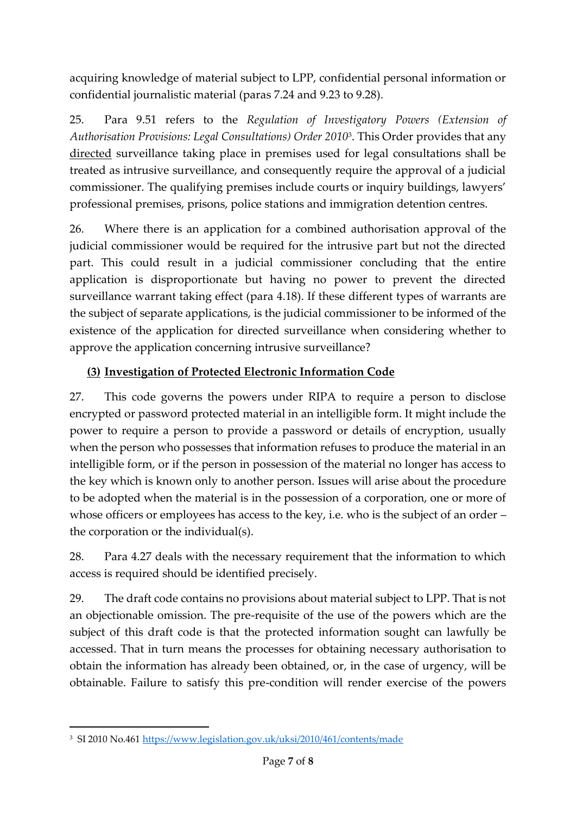acquiring knowledge of material subject to LPP, confidential personal information or confidential journalistic material (paras 7.24 and 9.23 to 9.28).

25. Para 9.51 refers to the *Regulation of Investigatory Powers (Extension of Authorisation Provisions: Legal Consultations) Order 2010*<sup>3</sup> . This Order provides that any directed surveillance taking place in premises used for legal consultations shall be treated as intrusive surveillance, and consequently require the approval of a judicial commissioner. The qualifying premises include courts or inquiry buildings, lawyers' professional premises, prisons, police stations and immigration detention centres.

26. Where there is an application for a combined authorisation approval of the judicial commissioner would be required for the intrusive part but not the directed part. This could result in a judicial commissioner concluding that the entire application is disproportionate but having no power to prevent the directed surveillance warrant taking effect (para 4.18). If these different types of warrants are the subject of separate applications, is the judicial commissioner to be informed of the existence of the application for directed surveillance when considering whether to approve the application concerning intrusive surveillance?

## **(3) Investigation of Protected Electronic Information Code**

27. This code governs the powers under RIPA to require a person to disclose encrypted or password protected material in an intelligible form. It might include the power to require a person to provide a password or details of encryption, usually when the person who possesses that information refuses to produce the material in an intelligible form, or if the person in possession of the material no longer has access to the key which is known only to another person. Issues will arise about the procedure to be adopted when the material is in the possession of a corporation, one or more of whose officers or employees has access to the key, i.e. who is the subject of an order – the corporation or the individual(s).

28. Para 4.27 deals with the necessary requirement that the information to which access is required should be identified precisely.

29. The draft code contains no provisions about material subject to LPP. That is not an objectionable omission. The pre-requisite of the use of the powers which are the subject of this draft code is that the protected information sought can lawfully be accessed. That in turn means the processes for obtaining necessary authorisation to obtain the information has already been obtained, or, in the case of urgency, will be obtainable. Failure to satisfy this pre-condition will render exercise of the powers

 $\overline{a}$ 

<sup>&</sup>lt;sup>3</sup> SI 2010 No.461 <u><https://www.legislation.gov.uk/uksi/2010/461/contents/made></u>